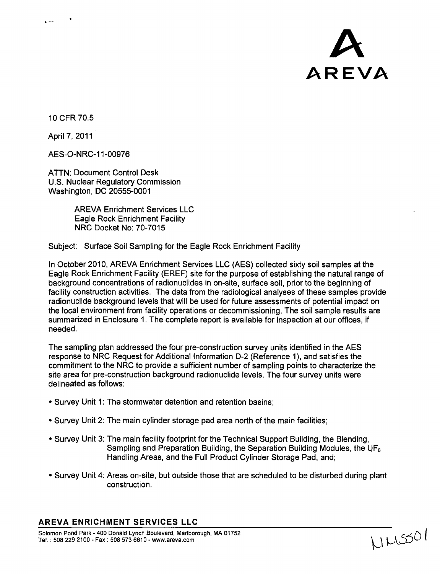

**10** CFR 70.5

April 7, 2011

AES-O-NRC-1 1-00976

ATTN: Document Control Desk U.S. Nuclear Regulatory Commission Washington, DC 20555-0001

> AREVA Enrichment Services LLC Eagle Rock Enrichment Facility NRC Docket No: 70-7015

Subject: Surface Soil Sampling for the Eagle Rock Enrichment Facility

In October 2010, AREVA Enrichment Services LLC (AES) collected sixty soil samples at the Eagle Rock Enrichment Facility (EREF) site for the purpose of establishing the natural range of background concentrations of radionuclides in on-site, surface soil, prior to the beginning of facility construction activities. The data from the radiological analyses of these samples provide radionuclide background levels that will be used for future assessments of potential impact on the local environment from facility operations or decommissioning. The soil sample results are summarized in Enclosure **1.** The complete report is available for inspection at our offices, if needed.

The sampling plan addressed the four pre-construction survey units identified in the AES response to NRC Request for Additional Information D-2 (Reference **1),** and satisfies the commitment to the NRC to provide a sufficient number of sampling points to characterize the site area for pre-construction background radionuclide levels. The four survey units were delineated as follows:

- **"** Survey Unit 1: The stormwater detention and retention basins;
- \* Survey Unit 2: The main cylinder storage pad area north of the main facilities;
- Survey Unit 3: The main facility footprint for the Technical Support Building, the Blending, Sampling and Preparation Building, the Separation Building Modules, the UF<sub>6</sub> Handling Areas, and the Full Product Cylinder Storage Pad, and;
- \* Survey Unit 4: Areas on-site, but outside those that are scheduled to be disturbed during plant construction.

### AREVA **ENRICHMENT SERVICES LLC**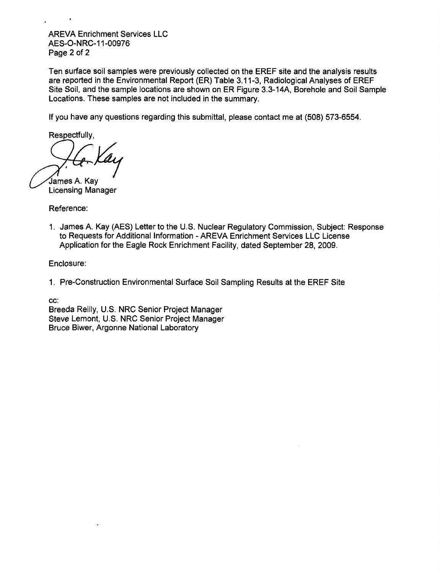AREVA Enrichment Services LLC AES-O-NRC-1 1-00976 Page 2 of 2

Ten surface soil samples were previously collected on the EREF site and the analysis results are reported in the Environmental Report (ER) Table 3.11-3, Radiological Analyses of EREF Site Soil, and the sample locations are shown on ER Figure 3.3-14A, Borehole and Soil Sample Locations. These samples are not included in the summary.

If you have any questions regarding this submittal, please contact me at (508) 573-6554.

Respectfully,

James A. Kay Licensing Manager

Reference:

1. James A. Kay (AES) Letter to the U.S. Nuclear Regulatory Commission, Subject: Response to Requests for Additional Information - AREVA Enrichment Services LLC License Application for the Eagle Rock Enrichment Facility, dated September 28, 2009.

Enclosure:

1. Pre-Construction Environmental Surface Soil Sampling Results at the EREF Site

cc:

Breeda Reilly, U.S. NRC Senior Project Manager Steve Lemont, U.S. NRC Senior Project Manager Bruce Biwer, Argonne National Laboratory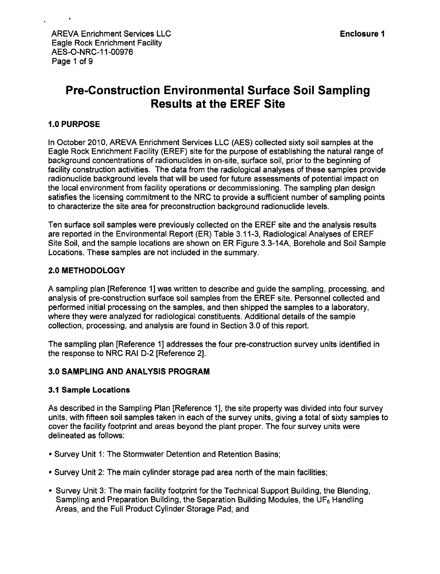# Pre-Construction Environmental Surface Soil Sampling Results at the EREF Site

### **1.0 PURPOSE**

In October 2010, AREVA Enrichment Services LLC (AES) collected sixty soil samples at the Eagle Rock Enrichment Facility (EREF) site for the purpose of establishing the natural range of background concentrations of radionuclides in on-site, surface soil, prior to the beginning of facility construction activities. The data from the radiological analyses of these samples provide radionuclide background levels that will be used for future assessments of potential impact on the local environment from facility operations or decommissioning. The sampling plan design satisfies the licensing commitment to the NRC to provide a sufficient number of sampling points to characterize the site area for preconstruction background radionuclide levels.

Ten surface soil samples were previously collected on the EREF site and the analysis results are reported in the Environmental Report (ER) Table 3.11-3, Radiological Analyses of EREF Site Soil, and the sample locations are shown on ER Figure 3.3-14A, Borehole and Soil Sample Locations. These samples are not included in the summary.

### 2.0 METHODOLOGY

A sampling plan [Reference 1] was written to describe and guide the sampling, processing, and analysis of pre-construction surface soil samples from the EREF site. Personnel collected and performed initial processing on the samples, and then shipped the samples to a laboratory, where they were analyzed for radiological constituents. Additional details of the sample collection, processing, and analysis are found in Section 3.0 of this report.

The sampling plan [Reference 1] addresses the four pre-construction survey units identified in the response to NRC RAI D-2 [Reference 2].

#### 3.0 SAMPLING AND **ANALYSIS** PROGRAM

#### **3.1** Sample Locations

As described in the Sampling Plan [Reference 1], the site property was divided into four survey units, with fifteen soil samples taken in each of the survey units, giving a total of sixty samples to cover the facility footprint and areas beyond the plant proper. The four survey units were delineated as follows:

- **"** Survey Unit 1: The Stormwater Detention and Retention Basins;
- **"** Survey Unit 2: The main cylinder storage pad area north of the main facilities;
- **"** Survey Unit 3: The main facility footprint for the Technical Support Building, the Blending, Sampling and Preparation Building, the Separation Building Modules, the  $UF<sub>6</sub>$  Handling Areas, and the Full Product Cylinder Storage Pad; and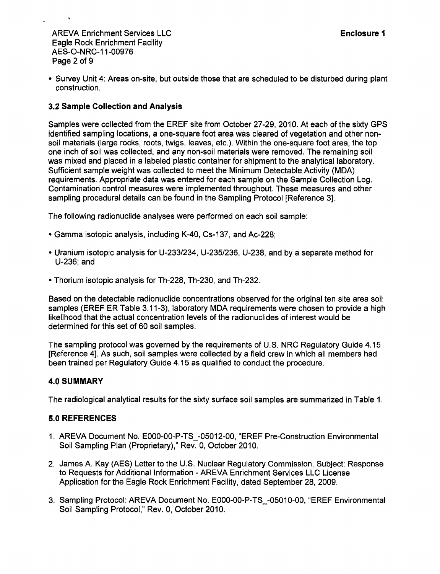AREVA Enrichment Services LLC **International English Contract Contract Contract Contract Contract Contract Contract Contract Contract Contract Contract Contract Contract Contract Contract Contract Contract Contract Contrac** Eagle Rock Enrichment Facility AES-O-NRC-1 1-00976 Page 2 of 9

• Survey Unit 4: Areas on-site, but outside those that are scheduled to be disturbed during plant construction.

### **3.2** Sample Collection and Analysis

Samples were collected from the EREF site from October **27-29,** 2010. At each of the sixty GPS identified sampling locations, a one-square foot area was cleared of vegetation and other nonsoil materials (large rocks, roots, twigs, leaves, etc.). Within the one-square foot area, the top one inch of soil was collected, and any non-soil materials were removed. The remaining soil was mixed and placed in a labeled plastic container for shipment to the analytical laboratory. Sufficient sample weight was collected to meet the Minimum Detectable Activity (MDA) requirements. Appropriate data was entered for each sample on the Sample Collection Log. Contamination control measures were implemented throughout. These measures and other sampling procedural details can be found in the Sampling Protocol [Reference 3].

The following radionuclide analyses were performed on each soil sample:

- **"** Gamma isotopic analysis, including K-40, Cs-1 37, and Ac-228;
- \* Uranium isotopic analysis for U-233/234, U-235/236, U-238, and by a separate method for U-236; and
- **"** Thorium isotopic analysis for Th-228, Th-230, and Th-232.

Based on the detectable radionuclide concentrations observed for the original ten site area soil samples (EREF ER Table 3.11-3), laboratory MDA requirements were chosen to provide a high likelihood that the actual concentration levels of the radionuclides of interest would be determined for this set of 60 soil samples.

The sampling protocol was governed by the requirements of U.S. NRC Regulatory Guide 4.15 [Reference 4]. As such, soil samples were collected by a field crew in which all members had been trained per Regulatory Guide 4.15 as qualified to conduct the procedure.

### 4.0 SUMMARY

The radiological analytical results for the sixty surface soil samples are summarized in Table 1.

### 5.0 REFERENCES

- 1. AREVA Document No. E000-00-P-TS\_-05012-00, "EREF Pre-Construction Environmental Soil Sampling Plan (Proprietary)," Rev. 0, October 2010.
- 2. James A. Kay (AES) Letter to the U.S. Nuclear Regulatory Commission, Subject: Response to Requests for Additional Information - AREVA Enrichment Services LLC License Application for the Eagle Rock Enrichment Facility, dated September 28, 2009.
- 3. Sampling Protocol: AREVA Document No. EOOO-00-P-TS\_-05010-00, "EREF Environmental Soil Sampling Protocol," Rev. 0, October 2010.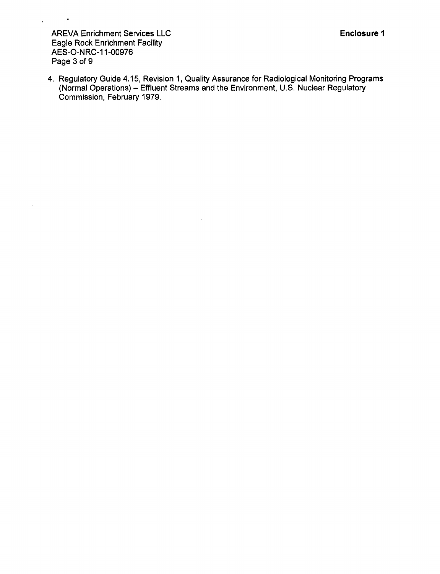AREVA Enrichment Services LLC Eagle Rock Enrichment Facility AES-O-NRC-11-00976 Page 3 of 9

 $\mathcal{L}^{\text{max}}$  and  $\mathcal{L}^{\text{max}}$ 

 $\sim$ 

4. Regulatory Guide 4.15, Revision 1, Quality Assurance for Radiological Monitoring Programs (Normal Operations) – Effluent Streams and the Environment, U.S. Nuclear Regulatory Commission, February 1979.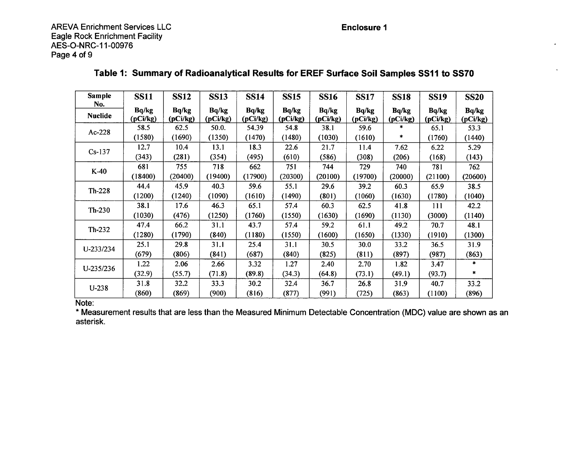Enclosure **1**

AREVA Enrichment Services LLC Eagle Rock Enrichment Facility AES-O-NRC-1 1-00976 Page 4 of 9

| <b>Sample</b>         | <b>SS11</b>       | <b>SS12</b>       | <b>SS13</b>       | <b>SS14</b>       | <b>SS15</b>       | <b>SS16</b>       | <b>SS17</b>       | <b>SS18</b>       | <b>SS19</b>       | <b>SS20</b>       |
|-----------------------|-------------------|-------------------|-------------------|-------------------|-------------------|-------------------|-------------------|-------------------|-------------------|-------------------|
| No.<br><b>Nuclide</b> | Bq/kg<br>(pCi/kg) | Bq/kg<br>(pCi/kg) | Bq/kg<br>(pCi/kg) | Bq/kg<br>(pCi/kg) | Bq/kg<br>(pCi/kg) | Bq/kg<br>(pCi/kg) | Bq/kg<br>(pCi/kg) | Bq/kg<br>(pCi/kg) | Bq/kg<br>(pCi/kg) | Bq/kg<br>(pCi/kg) |
| $Ac-228$              | 58.5              | 62.5              | 50.0.             | 54.39             | 54.8              | 38.1              | 59.6              | *                 | 65.1              | 53.3              |
|                       | (1580)            | (1690)            | (1350)            | (1470)            | (1480)            | (1030)            | (1610)            | *                 | (1760)            | (1440)            |
| $Cs-137$              | 12.7              | 10.4              | 13.1              | 18.3              | 22.6              | 21.7              | 11.4              | 7.62              | 6.22              | 5.29              |
|                       | (343)             | (281)             | (354)             | (495)             | (610)             | (586)             | (308)             | (206)             | (168)             | (143)             |
| $K-40$                | 681               | 755               | 718               | 662               | 751               | 744               | 729               | 740               | 781               | 762               |
|                       | (18400)           | (20400)           | (19400)           | (17900)           | (20300)           | (20100)           | (19700)           | (20000)           | (21100)           | (20600)           |
| $Th-228$              | 44.4              | 45.9              | 40.3              | 59.6              | 55.1              | 29.6              | 39.2              | 60.3              | 65.9              | 38.5              |
|                       | (1200)            | (1240)            | (1090)            | (1610)            | (1490)            | (801)             | (1060)            | (1630)            | (1780)            | (1040)            |
| $Th-230$              | 38.1              | 17.6              | 46.3              | 65.1              | 57.4              | 60.3              | 62.5              | 41.8              | 111               | 42.2              |
|                       | (1030)            | (476)             | (1250)            | (1760)            | (1550)            | (1630)            | (1690)            | (1130)            | (3000)            | (1140)            |
| $Th-232$              | 47.4              | 66.2              | 31.1              | 43.7              | 57.4              | 59.2              | 61.1              | 49.2              | 70.7              | 48.1              |
|                       | (1280)            | (1790)            | (840)             | (1180)            | (1550)            | (1600)            | (1650)            | (1330)            | (1910)            | (1300)            |
| U-233/234             | 25.1              | 29.8              | 31.1              | 25.4              | 31.1              | 30.5              | 30.0              | 33.2              | 36.5              | 31.9              |
|                       | (679)             | (806)             | (841)             | (687)             | (840)             | (825)             | (811)             | (897)             | (987)             | (863)             |
| U-235/236             | 1.22              | 2.06              | 2.66              | 3.32              | 1.27              | 2.40              | 2.70              | 1.82              | 3.47              | *                 |
|                       | (32.9)            | (55.7)            | (71.8)            | (89.8)            | (34.3)            | (64.8)            | (73.1)            | (49.1)            | (93.7)            | *                 |
| $U-238$               | 31.8              | 32.2              | 33.3              | 30.2              | 32.4              | 36.7              | 26.8              | 31.9              | 40.7              | 33.2              |
|                       | (860)             | (869)             | (900)             | (816)             | (877)             | (991)             | (725)             | (863)             | (1100)            | (896)             |

### Table **1:** Summary of Radioanalytical Results for EREF Surface Soil Samples **SSII** to **SS70**

Note:

**\*** Measurement results that are less than the Measured Minimum Detectable Concentration (MDC) value are shown as an asterisk.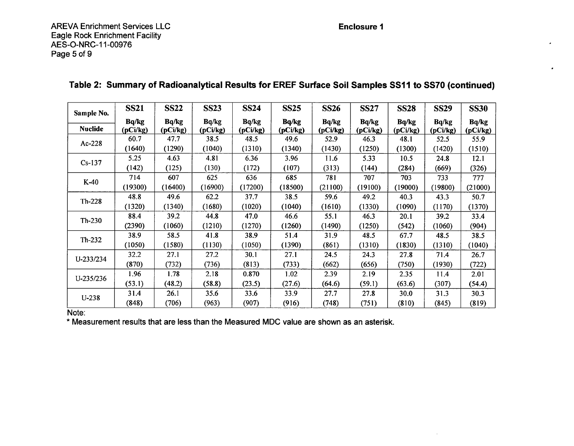Enclosure **I**

 $\sim$ 

 $\bullet$ 

AREVA Enrichment Services LLC Eagle Rock Enrichment Facility AES-O-NRC-1 1-00976 Page 5 of **9**

| Sample No.     | <b>SS21</b>       | <b>SS22</b>       | <b>SS23</b>       | <b>SS24</b>       | <b>SS25</b>       | <b>SS26</b>       | <b>SS27</b>       | <b>SS28</b>       | <b>SS29</b>       | <b>SS30</b>       |
|----------------|-------------------|-------------------|-------------------|-------------------|-------------------|-------------------|-------------------|-------------------|-------------------|-------------------|
| <b>Nuclide</b> | Bq/kg<br>(pCi/kg) | Bq/kg<br>(pCi/kg) | Bq/kg<br>(pCi/kg) | Bq/kg<br>(pCi/kg) | Bq/kg<br>(pCi/kg) | Bq/kg<br>(pCi/kg) | Bq/kg<br>(pCi/kg) | Bq/kg<br>(pCi/kg) | Bq/kg<br>(pCi/kg) | Bq/kg<br>(pCi/kg) |
| Ac-228         | 60.7              | 47.7              | 38.5              | 48.5              | 49.6              | 52.9              | 46.3              | 48.1              | 52.5              | 55.9              |
|                | (1640)            | (1290)            | (1040)            | (1310)            | (1340)            | (1430)            | (1250)            | (1300)            | (1420)            | (1510)            |
| $Cs-137$       | 5.25              | 4.63              | 4.81              | 6.36              | 3.96              | 11.6              | 5.33              | 10.5              | 24.8              | 12.1              |
|                | (142)             | (125)             | (130)             | (172)             | (107)             | (313)             | (144)             | (284)             | (669)             | (326)             |
| $K-40$         | 714               | 607               | 625               | 636               | 685               | 781               | 707               | 703               | 733               | 777               |
|                | (19300)           | (16400)           | (16900)           | (17200)           | (18500)           | (21100)           | (19100)           | (19000)           | (19800)           | (21000)           |
| $Th-228$       | 48.8              | 49.6              | 62.2              | 37.7              | 38.5              | 59.6              | 49.2              | 40.3              | 43.3              | 50.7              |
|                | (1320)            | (1340)            | (1680)            | (1020)            | (1040)            | (1610)            | (1330)            | (1090)            | (1170)            | (1370)            |
| $Th-230$       | 88.4              | 39.2              | 44.8              | 47.0              | 46.6              | 55.1              | 46.3              | 20.1              | 39.2              | 33.4              |
|                | (2390)            | (1060)            | (1210)            | (1270)            | (1260)            | (1490)            | (1250)            | (542)             | (1060)            | (904)             |
| $Th-232$       | 38.9              | 58.5              | 41.8              | 38.9              | 51.4              | 31.9              | 48.5              | 67.7              | 48.5              | 38.5              |
|                | (1050)            | (1580)            | (1130)            | (1050)            | (1390)            | (861)             | (1310)            | (1830)            | (1310)            | (1040)            |
| U-233/234      | 32.2              | 27.1              | 27.2              | 30.1              | 27.1              | 24.5              | 24.3              | 27.8              | 71.4              | 26.7              |
|                | (870)             | (732)             | (736)             | (813)             | (733)             | (662)             | (656)             | (750)             | (1930)            | (722)             |
| U-235/236      | 1.96              | 1.78              | 2.18              | 0.870             | 1.02              | 2.39              | 2.19              | 2.35              | 11.4              | 2.01              |
|                | (53.1)            | (48.2)            | (58.8)            | (23.5)            | (27.6)            | (64.6)            | (59.1)            | (63.6)            | (307)             | (54.4)            |
| $U-238$        | 31.4              | 26.1              | 35.6              | 33.6              | 33.9              | 27.7              | 27.8              | <b>30.0</b>       | 31.3              | 30.3              |
|                | (848)             | (706)             | (963)             | (907)             | (916)             | (748)             | (751)             | (810)             | (845)             | (819)             |

## Table 2: Summary of Radioanalytical Results for EREF Surface Soil Samples **SSII** to **SS70** (continued)

Note:<br>
\* Measurement results that are less than the Measured MDC value are shown as an asterisk.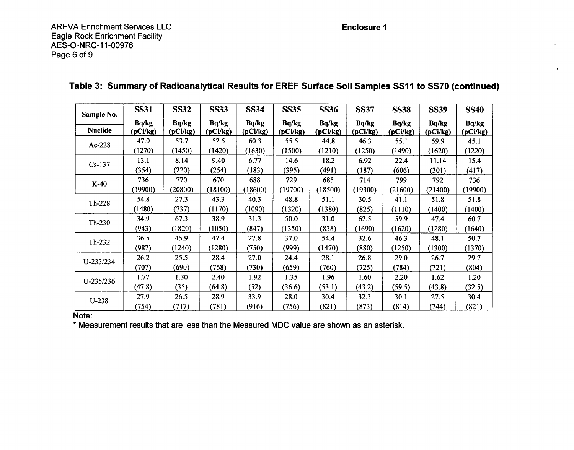$\mathbf{v}$ 

| Sample No.     | <b>SS31</b>       | <b>SS32</b>       | <b>SS33</b>       | <b>SS34</b>       | <b>SS35</b>       | <b>SS36</b>       | <b>SS37</b>       | <b>SS38</b>       | <b>SS39</b>       | <b>SS40</b>       |
|----------------|-------------------|-------------------|-------------------|-------------------|-------------------|-------------------|-------------------|-------------------|-------------------|-------------------|
| <b>Nuclide</b> | Bq/kg<br>(pCi/kg) | Bq/kg<br>(pCi/kg) | Bq/kg<br>(pCi/kg) | Bq/kg<br>(pCi/kg) | Bq/kg<br>(pCi/kg) | Bq/kg<br>(pCi/kg) | Bq/kg<br>(pCi/kg) | Bq/kg<br>(pCi/kg) | Bq/kg<br>(pCi/kg) | Bq/kg<br>(pCi/kg) |
| $Ac-228$       | 47.0              | 53.7              | 52.5              | 60.3              | 55.5              | 44.8              | 46.3              | 55.1              | 59.9              | 45.1              |
|                | (1270)            | (1450)            | (1420)            | (1630)            | (1500)            | (1210)            | (1250)            | (1490)            | (1620)            | (1220)            |
| $Cs-137$       | 13.1              | 8.14              | 9.40              | 6.77              | 14.6              | 18.2              | 6.92              | 22.4              | 11.14             | 15.4              |
|                | (354)             | (220)             | (254)             | (183)             | (395)             | (491)             | (187)             | (606)             | (301)             | (417)             |
| $K-40$         | 736               | 770               | 670               | 688               | 729               | 685               | 714               | 799               | 792               | 736               |
|                | (19900)           | (20800)           | (18100)           | (18600)           | (19700)           | (18500)           | (19300)           | (21600)           | (21400)           | (19900)           |
| $Th-228$       | 54.8              | 27.3              | 43.3              | 40.3              | 48.8              | 51.1              | 30.5              | 41.1              | 51.8              | 51.8              |
|                | (1480)            | (737)             | (1170)            | (1090)            | (1320)            | (1380)            | (825)             | (1110)            | (1400)            | (1400)            |
| Th-230         | 34.9              | 67.3              | 38.9              | 31.3              | 50.0              | 31.0              | 62.5              | 59.9              | 47.4              | 60.7              |
|                | (943)             | (1820)            | (1050)            | (847)             | (1350)            | (838)             | (1690)            | (1620)            | (1280)            | (1640)            |
| $Th-232$       | 36.5              | 45.9              | 47.4              | 27.8              | 37.0              | 54.4              | 32.6              | 46.3              | 48.1              | 50.7              |
|                | (987)             | (1240)            | (1280)            | (750)             | (999)             | (1470)            | (880)             | (1250)            | (1300)            | (1370)            |
| U-233/234      | 26.2              | 25.5              | 28.4              | 27.0              | 24.4              | 28.1              | 26.8              | 29.0              | 26.7              | 29.7              |
|                | (707)             | (690)             | (768)             | (730)             | (659)             | (760)             | (725)             | (784)             | (721)             | (804)             |
| U-235/236      | 1.77              | 1.30              | 2.40              | 1.92              | 1.35              | 1.96              | 1.60              | 2.20              | 1.62              | 1.20              |
|                | (47.8)            | (35)              | (64.8)            | (52)              | (36.6)            | (53.1)            | (43.2)            | (59.5)            | (43.8)            | (32.5)            |
| $U-238$        | 27.9              | 26.5              | 28.9              | 33.9              | 28.0              | 30.4              | 32.3              | 30.1              | 27.5              | 30.4              |
|                | (754)             | (717)             | (781)             | (916)             | (756)             | (821)             | (873)             | (814)             | (744)             | (821)             |

### Table **3:** Summary of Radioanalytical Results for EREF Surface Soil Samples **SS11** to **SS70** (continued)

Note:<br>\* Measurement results that are less than the Measured MDC value are shown as an asterisk.

 $\sim$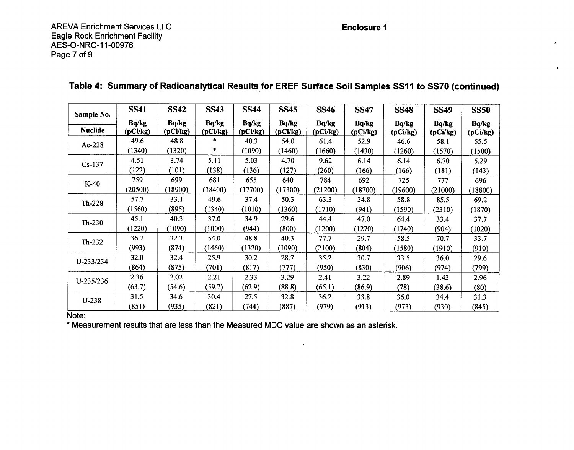#### Enclosure **I**

 $\sim$ 

 $\mathbf{r}$ 

| Sample No.     | <b>SS41</b> | <b>SS42</b> | <b>SS43</b> | <b>SS44</b> | <b>SS45</b> | <b>SS46</b> | <b>SS47</b> | <b>SS48</b> | <b>SS49</b> | <b>SS50</b> |
|----------------|-------------|-------------|-------------|-------------|-------------|-------------|-------------|-------------|-------------|-------------|
|                | Bq/kg       | Bq/kg       | Bq/kg       | Bq/kg       | Bq/kg       | Bq/kg       | Bq/kg       | Bq/kg       | Bq/kg       | Bq/kg       |
| <b>Nuclide</b> | (pCi/kg)    | (pCi/kg)    | (pCi/kg)    | (pCi/kg)    | (pCi/kg)    | (pCi/kg)    | (pCi/kg)    | (pCi/kg)    | (pCi/kg)    | (pCi/kg)    |
| $Ac-228$       | 49.6        | 48.8        | *           | 40.3        | 54.0        | 61.4        | 52.9        | 46.6        | 58.1        | 55.5        |
|                | (1340)      | (1320)      | *           | (1090)      | (1460)      | (1660)      | (1430)      | (1260)      | (1570)      | (1500)      |
| $Cs-137$       | 4.51        | 3.74        | 5.11        | 5.03        | 4.70        | 9.62        | 6.14        | 6.14        | 6.70        | 5.29        |
|                | (122)       | (101)       | (138)       | (136)       | (127)       | (260)       | (166)       | (166)       | (181)       | (143)       |
| $K-40$         | 759         | 699         | 681         | 655         | 640         | 784         | 692         | 725         | 777         | 696         |
|                | (20500)     | (18900)     | (18400)     | (17700)     | (17300)     | (21200)     | 18700       | (19600)     | (21000)     | (18800)     |
| $Th-228$       | 57.7        | 33.1        | 49.6        | 37.4        | 50.3        | 63.3        | 34.8        | 58.8        | 85.5        | 69.2        |
|                | (1560)      | (895)       | (1340)      | (1010)      | (1360)      | (1710)      | (941)       | (1590)      | (2310)      | (1870)      |
| $Th-230$       | 45.1        | 40.3        | 37.0        | 34.9        | 29.6        | 44.4        | 47.0        | 64.4        | 33.4        | 37.7        |
|                | (1220)      | (1090)      | (1000)      | (944)       | (800)       | (1200)      | (1270)      | (1740)      | (904)       | (1020)      |
| $Th-232$       | 36.7        | 32.3        | 54.0        | 48.8        | 40.3        | 77.7        | 29.7        | 58.5        | 70.7        | 33.7        |
|                | (993)       | (874)       | (1460)      | (1320)      | (1090)      | (2100)      | (804)       | (1580)      | (1910)      | (910)       |
| U-233/234      | 32.0        | 32.4        | 25.9        | 30.2        | 28.7        | 35.2        | 30.7        | 33.5        | 36.0        | 29.6        |
|                | (864)       | (875)       | (701)       | (817)       | (777)       | (950)       | (830)       | (906)       | (974)       | (799)       |
| U-235/236      | 2.36        | 2.02        | 2.21        | 2.33        | 3.29        | 2.41        | 3.22        | 2.89        | 1.43        | 2.96        |
|                | (63.7)      | (54.6)      | (59.7)      | (62.9)      | (88.8)      | (65.1)      | (86.9)      | (78)        | (38.6)      | (80)        |
| $U-238$        | 31.5        | 34.6        | 30.4        | 27.5        | 32.8        | 36.2        | 33.8        | 36.0        | 34.4        | 31.3        |
|                | (851)       | (935)       | (821)       | (744)       | (887)       | (979)       | (913)       | (973)       | (930)       | (845)       |

 $\mathcal{L}^{\pm}$ 

### Table 4: Summary of Radioanalytical Results for EREF Surface Soil Samples **SSll** to **SS70** (continued)

Note:

• Measurement results that are less than the Measured MDC value are shown as an asterisk.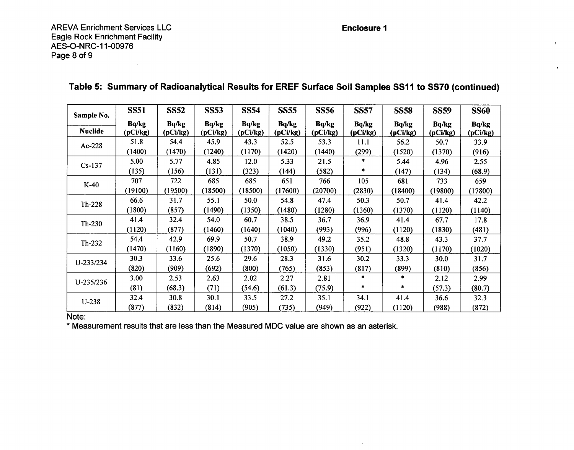AREVA Enrichment Services LLC Eagle Rock Enrichment Facility AES-O-NRC-11-00976 Page 8 of 9

### Enclosure **I**

 $\sim$ 

 $\mathbf{r}$ 

 $\ddot{\phantom{1}}$ 

| Sample No.     | <b>SS51</b> | <b>SS52</b> | <b>SS53</b> | <b>SS54</b> | <b>SS55</b> | <b>SS56</b> | <b>SS57</b> | <b>SS58</b> | <b>SS59</b> | <b>SS60</b> |
|----------------|-------------|-------------|-------------|-------------|-------------|-------------|-------------|-------------|-------------|-------------|
|                | Bq/kg       | Bq/kg       | Bq/kg       | Bq/kg       | Bq/kg       | Bq/kg       | Bq/kg       | Bq/kg       | Bq/kg       | Bq/kg       |
| <b>Nuclide</b> | (pCi/kg)    | (pCi/kg)    | (pCi/kg)    | (pCi/kg)    | (pCi/kg)    | (pCi/kg)    | (pCi/kg)    | (pCi/kg)    | (pCi/kg)    | (pCi/kg)    |
| Ac-228         | 51.8        | 54.4        | 45.9        | 43.3        | 52.5        | 53.3        | 11.1        | 56.2        | 50.7        | 33.9        |
|                | (1400)      | (1470)      | (1240)      | (1170)      | (1420)      | (1440)      | (299)       | (1520)      | (1370)      | (916)       |
| $Cs-137$       | 5.00        | 5.77        | 4.85        | 12.0        | 5.33        | 21.5        | *           | 5.44        | 4.96        | 2.55        |
|                | (135)       | (156)       | (131)       | (323)       | (144)       | (582)       | *           | (147)       | (134)       | (68.9)      |
| $K-40$         | 707         | 722         | 685         | 685         | 651         | 766         | 105         | 681         | 733         | 659         |
|                | (19100)     | (19500)     | (18500)     | (18500)     | (17600)     | (20700)     | (2830)      | (18400)     | (19800)     | (17800)     |
| Th-228         | 66.6        | 31.7        | 55.1        | 50.0        | 54.8        | 47.4        | 50.3        | 50.7        | 41.4        | 42.2        |
|                | (1800)      | (857)       | (1490)      | (1350)      | 1480)       | (1280)      | (1360)      | (1370)      | (1120)      | (1140)      |
| $Th-230$       | 41.4        | 32.4        | 54.0        | 60.7        | 38.5        | 36.7        | 36.9        | 41.4        | 67.7        | 17.8        |
|                | (1120)      | (877)       | (1460)      | (1640)      | 1040)       | (993)       | (996)       | (1120)      | (1830)      | (481)       |
| Th-232         | 54.4        | 42.9        | 69.9        | 50.7        | 38.9        | 49.2        | 35.2        | 48.8        | 43.3        | 37.7        |
|                | (1470)      | (1160)      | (1890)      | (1370)      | (1050)      | (1330)      | (951)       | (1320)      | (1170)      | (1020)      |
| U-233/234      | 30.3        | 33.6        | 25.6        | 29.6        | 28.3        | 31.6        | 30.2        | 33.3        | 30.0        | 31.7        |
|                | (820)       | (909)       | (692)       | (800)       | (765)       | (853)       | (817)       | (899)       | (810)       | (856)       |
| U-235/236      | 3.00        | 2.53        | 2.63        | 2.02        | 2.27        | 2.81        | *           | $\ast$      | 2.12        | 2.99        |
|                | (81)        | (68.3)      | (71)        | (54.6)      | (61.3)      | (75.9)      | *           | *           | (57.3)      | (80.7)      |
| $U-238$        | 32.4        | 30.8        | 30.1        | 33.5        | 27.2        | 35.1        | 34.1        | 41.4        | 36.6        | 32.3        |
|                | (877)       | (832)       | (814)       | (905)       | (735)       | (949)       | (922)       | (1120)      | (988)       | (872)       |

# Table **5:** Summary of Radioanalytical Results for EREF Surface Soil Samples **SS1I** to **SS70** (continued)

Note:

• Measurement results that are less than the Measured MDC value are shown as an asterisk.